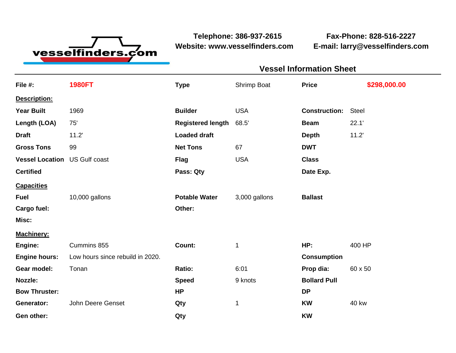

**Website: www.vesselfinders.com E-mail: larry@vesselfinders.com**

**Telephone: 386-937-2615 Fax-Phone: 828-516-2227**

**Vessel Information Sheet**

|                                      |                                  | <b>VESSEI IIIIUIIIIIALIUII JIIEEL</b> |               |                      |              |  |
|--------------------------------------|----------------------------------|---------------------------------------|---------------|----------------------|--------------|--|
| File #:                              | <b>1980FT</b>                    | <b>Type</b>                           | Shrimp Boat   | <b>Price</b>         | \$298,000.00 |  |
| Description:                         |                                  |                                       |               |                      |              |  |
| Year Built                           | 1969                             | <b>Builder</b>                        | <b>USA</b>    | <b>Construction:</b> | <b>Steel</b> |  |
| Length (LOA)                         | 75'                              | <b>Registered length</b>              | 68.5'         | <b>Beam</b>          | 22.1'        |  |
| <b>Draft</b>                         | 11.2'                            | <b>Loaded draft</b>                   |               | <b>Depth</b>         | 11.2'        |  |
| <b>Gross Tons</b>                    | 99                               | <b>Net Tons</b>                       | 67            | <b>DWT</b>           |              |  |
| <b>Vessel Location US Gulf coast</b> |                                  | <b>Flag</b>                           | <b>USA</b>    | <b>Class</b>         |              |  |
| <b>Certified</b>                     |                                  | Pass: Qty                             |               | Date Exp.            |              |  |
| <u>Capacities</u>                    |                                  |                                       |               |                      |              |  |
| Fuel                                 | 10,000 gallons                   | <b>Potable Water</b>                  | 3,000 gallons | <b>Ballast</b>       |              |  |
| Cargo fuel:                          |                                  | Other:                                |               |                      |              |  |
| Misc:                                |                                  |                                       |               |                      |              |  |
| <u> Machinery:</u>                   |                                  |                                       |               |                      |              |  |
| Engine:                              | Cummins 855                      | Count:                                | 1             | HP:                  | 400 HP       |  |
| <b>Engine hours:</b>                 | Low hours since rebuild in 2020. |                                       |               | <b>Consumption</b>   |              |  |
| Gear model:                          | Tonan                            | Ratio:                                | 6:01          | Prop dia:            | 60 x 50      |  |
| Nozzle:                              |                                  | <b>Speed</b>                          | 9 knots       | <b>Bollard Pull</b>  |              |  |
| <b>Bow Thruster:</b>                 |                                  | <b>HP</b>                             |               | <b>DP</b>            |              |  |
| Generator:                           | John Deere Genset                | Qty                                   | 1             | <b>KW</b>            | <b>40 kw</b> |  |
|                                      |                                  |                                       |               |                      |              |  |

**Gen other: Qty KW**